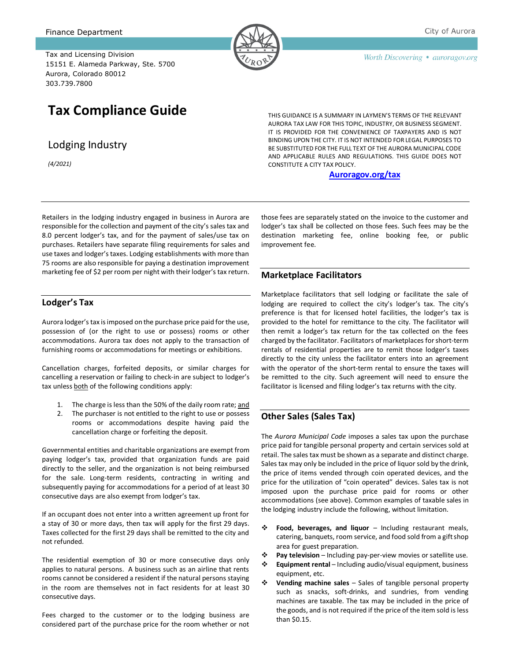Tax and Licensing Division 15151 E. Alameda Parkway, Ste. 5700 Aurora, Colorado 80012 303.739.7800

# **Tax Compliance Guide**

Lodging Industry

*(4/2021)*

THIS GUIDANCE IS A SUMMARY IN LAYMEN'S TERMS OF THE RELEVANT AURORA TAX LAW FOR THIS TOPIC, INDUSTRY, OR BUSINESS SEGMENT. IT IS PROVIDED FOR THE CONVENIENCE OF TAXPAYERS AND IS NOT BINDING UPON THE CITY. IT IS NOT INTENDED FOR LEGAL PURPOSES TO BE SUBSTITUTED FOR THE FULL TEXT OF THE AURORA MUNICIPAL CODE AND APPLICABLE RULES AND REGULATIONS. THIS GUIDE DOES NOT CONSTITUTE A CITY TAX POLICY.

#### **[Auroragov.org/tax](http://www.auroragov.org/tax)**

Retailers in the lodging industry engaged in business in Aurora are responsible for the collection and payment of the city's sales tax and 8.0 percent lodger's tax, and for the payment of sales/use tax on purchases. Retailers have separate filing requirements for sales and use taxes and lodger's taxes. Lodging establishments with more than 75 rooms are also responsible for paying a destination improvement marketing fee of \$2 per room per night with their lodger's tax return.

#### **Lodger's Tax**

Aurora lodger's tax is imposed on the purchase price paid for the use, possession of (or the right to use or possess) rooms or other accommodations. Aurora tax does not apply to the transaction of furnishing rooms or accommodations for meetings or exhibitions.

Cancellation charges, forfeited deposits, or similar charges for cancelling a reservation or failing to check-in are subject to lodger's tax unless both of the following conditions apply:

- 1. The charge is less than the 50% of the daily room rate; and
- 2. The purchaser is not entitled to the right to use or possess rooms or accommodations despite having paid the cancellation charge or forfeiting the deposit.

Governmental entities and charitable organizations are exempt from paying lodger's tax, provided that organization funds are paid directly to the seller, and the organization is not being reimbursed for the sale. Long-term residents, contracting in writing and subsequently paying for accommodations for a period of at least 30 consecutive days are also exempt from lodger's tax.

If an occupant does not enter into a written agreement up front for a stay of 30 or more days, then tax will apply for the first 29 days. Taxes collected for the first 29 days shall be remitted to the city and not refunded.

The residential exemption of 30 or more consecutive days only applies to natural persons. A business such as an airline that rents rooms cannot be considered a resident if the natural persons staying in the room are themselves not in fact residents for at least 30 consecutive days.

Fees charged to the customer or to the lodging business are considered part of the purchase price for the room whether or not those fees are separately stated on the invoice to the customer and lodger's tax shall be collected on those fees. Such fees may be the destination marketing fee, online booking fee, or public improvement fee.

#### **Marketplace Facilitators**

Marketplace facilitators that sell lodging or facilitate the sale of lodging are required to collect the city's lodger's tax. The city's preference is that for licensed hotel facilities, the lodger's tax is provided to the hotel for remittance to the city. The facilitator will then remit a lodger's tax return for the tax collected on the fees charged by the facilitator. Facilitators of marketplaces for short-term rentals of residential properties are to remit those lodger's taxes directly to the city unless the facilitator enters into an agreement with the operator of the short-term rental to ensure the taxes will be remitted to the city. Such agreement will need to ensure the facilitator is licensed and filing lodger's tax returns with the city.

#### **Other Sales (Sales Tax)**

The *Aurora Municipal Code* imposes a sales tax upon the purchase price paid for tangible personal property and certain services sold at retail. The sales tax must be shown as a separate and distinct charge. Sales tax may only be included in the price of liquor sold by the drink, the price of items vended through coin operated devices, and the price for the utilization of "coin operated" devices. Sales tax is not imposed upon the purchase price paid for rooms or other accommodations (see above). Common examples of taxable sales in the lodging industry include the following, without limitation.

- **Food, beverages, and liquor** Including restaurant meals, catering, banquets, room service, and food sold from a gift shop area for guest preparation.
- **Pay television** Including pay-per-view movies or satellite use.
- **Equipment rental** Including audio/visual equipment, business equipment, etc.
- **Vending machine sales** Sales of tangible personal property such as snacks, soft-drinks, and sundries, from vending machines are taxable. The tax may be included in the price of the goods, and is not required if the price of the item sold is less than \$0.15.

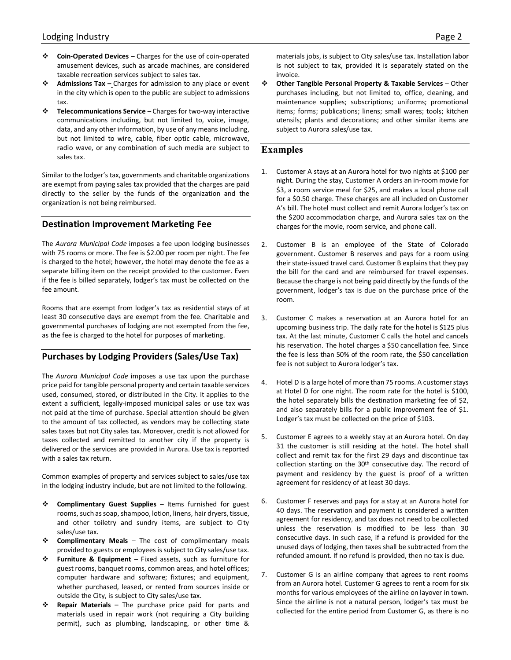- **Coin-Operated Devices** Charges for the use of coin-operated amusement devices, such as arcade machines, are considered taxable recreation services subject to sales tax.
- **Admissions Tax –** Charges for admission to any place or event in the city which is open to the public are subject to admissions tax.
- **Telecommunications Service** Charges for two-way interactive communications including, but not limited to, voice, image, data, and any other information, by use of any means including, but not limited to wire, cable, fiber optic cable, microwave, radio wave, or any combination of such media are subject to sales tax.

Similar to the lodger's tax, governments and charitable organizations are exempt from paying sales tax provided that the charges are paid directly to the seller by the funds of the organization and the organization is not being reimbursed.

#### **Destination Improvement Marketing Fee**

The *Aurora Municipal Code* imposes a fee upon lodging businesses with 75 rooms or more. The fee is \$2.00 per room per night. The fee is charged to the hotel; however, the hotel may denote the fee as a separate billing item on the receipt provided to the customer. Even if the fee is billed separately, lodger's tax must be collected on the fee amount.

Rooms that are exempt from lodger's tax as residential stays of at least 30 consecutive days are exempt from the fee. Charitable and governmental purchases of lodging are not exempted from the fee, as the fee is charged to the hotel for purposes of marketing.

#### **Purchases by Lodging Providers (Sales/Use Tax)**

The *Aurora Municipal Code* imposes a use tax upon the purchase price paid for tangible personal property and certain taxable services used, consumed, stored, or distributed in the City. It applies to the extent a sufficient, legally-imposed municipal sales or use tax was not paid at the time of purchase. Special attention should be given to the amount of tax collected, as vendors may be collecting state sales taxes but not City sales tax. Moreover, credit is not allowed for taxes collected and remitted to another city if the property is delivered or the services are provided in Aurora. Use tax is reported with a sales tax return.

Common examples of property and services subject to sales/use tax in the lodging industry include, but are not limited to the following.

- **Complimentary Guest Supplies** Items furnished for guest rooms, such as soap, shampoo, lotion, linens, hair dryers, tissue, and other toiletry and sundry items, are subject to City sales/use tax.
- **Complimentary Meals** The cost of complimentary meals provided to guests or employees is subject to City sales/use tax.
- **Furniture & Equipment** Fixed assets, such as furniture for guest rooms, banquet rooms, common areas, and hotel offices; computer hardware and software; fixtures; and equipment, whether purchased, leased, or rented from sources inside or outside the City, is subject to City sales/use tax.
- **Repair Materials** The purchase price paid for parts and materials used in repair work (not requiring a City building permit), such as plumbing, landscaping, or other time &

materials jobs, is subject to City sales/use tax. Installation labor is not subject to tax, provided it is separately stated on the invoice.

 **Other Tangible Personal Property & Taxable Services** – Other purchases including, but not limited to, office, cleaning, and maintenance supplies; subscriptions; uniforms; promotional items; forms; publications; linens; small wares; tools; kitchen utensils; plants and decorations; and other similar items are subject to Aurora sales/use tax.

### **Examples**

- 1. Customer A stays at an Aurora hotel for two nights at \$100 per night. During the stay, Customer A orders an in-room movie for \$3, a room service meal for \$25, and makes a local phone call for a \$0.50 charge. These charges are all included on Customer A's bill. The hotel must collect and remit Aurora lodger's tax on the \$200 accommodation charge, and Aurora sales tax on the charges for the movie, room service, and phone call.
- 2. Customer B is an employee of the State of Colorado government. Customer B reserves and pays for a room using their state-issued travel card. Customer B explains that they pay the bill for the card and are reimbursed for travel expenses. Because the charge is not being paid directly by the funds of the government, lodger's tax is due on the purchase price of the room.
- 3. Customer C makes a reservation at an Aurora hotel for an upcoming business trip. The daily rate for the hotel is \$125 plus tax. At the last minute, Customer C calls the hotel and cancels his reservation. The hotel charges a \$50 cancellation fee. Since the fee is less than 50% of the room rate, the \$50 cancellation fee is not subject to Aurora lodger's tax.
- 4. Hotel D is a large hotel of more than 75 rooms. A customerstays at Hotel D for one night. The room rate for the hotel is \$100, the hotel separately bills the destination marketing fee of \$2, and also separately bills for a public improvement fee of \$1. Lodger's tax must be collected on the price of \$103.
- 5. Customer E agrees to a weekly stay at an Aurora hotel. On day 31 the customer is still residing at the hotel. The hotel shall collect and remit tax for the first 29 days and discontinue tax collection starting on the 30<sup>th</sup> consecutive day. The record of payment and residency by the guest is proof of a written agreement for residency of at least 30 days.
- 6. Customer F reserves and pays for a stay at an Aurora hotel for 40 days. The reservation and payment is considered a written agreement for residency, and tax does not need to be collected unless the reservation is modified to be less than 30 consecutive days. In such case, if a refund is provided for the unused days of lodging, then taxes shall be subtracted from the refunded amount. If no refund is provided, then no tax is due.
- 7. Customer G is an airline company that agrees to rent rooms from an Aurora hotel. Customer G agrees to rent a room for six months for various employees of the airline on layover in town. Since the airline is not a natural person, lodger's tax must be collected for the entire period from Customer G, as there is no